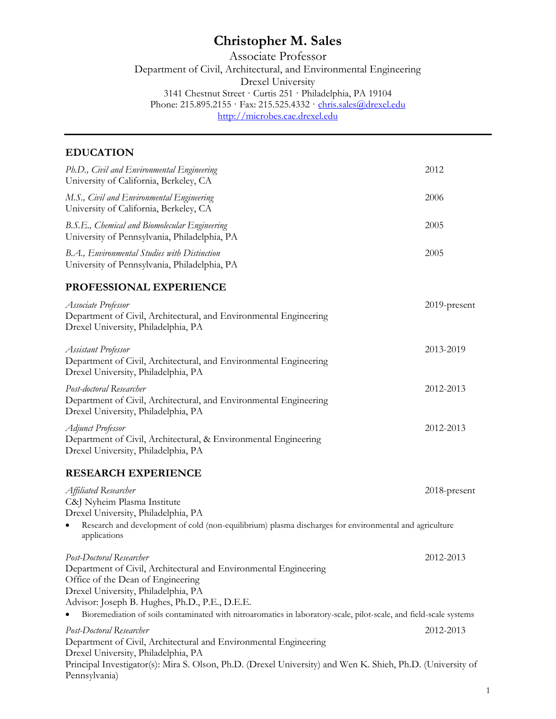# **Christopher M. Sales**

Associate Professor Department of Civil, Architectural, and Environmental Engineering Drexel University 3141 Chestnut Street · Curtis 251 · Philadelphia, PA 19104 Phone: 215.895.2155 · Fax: 215.525.4332 · <u>chris.sales@drexel.edu</u> [http://microbes.cae.drexel.edu](http://microbes.cae.drexel.edu/)

# **EDUCATION**

| Ph.D., Civil and Environmental Engineering<br>University of California, Berkeley, CA                                                                                                                                                                                                                                                                             | 2012         |
|------------------------------------------------------------------------------------------------------------------------------------------------------------------------------------------------------------------------------------------------------------------------------------------------------------------------------------------------------------------|--------------|
| M.S., Civil and Environmental Engineering<br>University of California, Berkeley, CA                                                                                                                                                                                                                                                                              | 2006         |
| B.S.E., Chemical and Biomolecular Engineering<br>University of Pennsylvania, Philadelphia, PA                                                                                                                                                                                                                                                                    | 2005         |
| B.A., Environmental Studies with Distinction<br>University of Pennsylvania, Philadelphia, PA                                                                                                                                                                                                                                                                     | 2005         |
| PROFESSIONAL EXPERIENCE                                                                                                                                                                                                                                                                                                                                          |              |
| Associate Professor<br>Department of Civil, Architectural, and Environmental Engineering<br>Drexel University, Philadelphia, PA                                                                                                                                                                                                                                  | 2019-present |
| Assistant Professor<br>Department of Civil, Architectural, and Environmental Engineering<br>Drexel University, Philadelphia, PA                                                                                                                                                                                                                                  | 2013-2019    |
| Post-doctoral Researcher<br>Department of Civil, Architectural, and Environmental Engineering<br>Drexel University, Philadelphia, PA                                                                                                                                                                                                                             | 2012-2013    |
| Adjunct Professor<br>Department of Civil, Architectural, & Environmental Engineering<br>Drexel University, Philadelphia, PA                                                                                                                                                                                                                                      | 2012-2013    |
| <b>RESEARCH EXPERIENCE</b>                                                                                                                                                                                                                                                                                                                                       |              |
| Affiliated Researcher<br>C&J Nyheim Plasma Institute<br>Drexel University, Philadelphia, PA<br>Research and development of cold (non-equilibrium) plasma discharges for environmental and agriculture<br>$\bullet$                                                                                                                                               | 2018-present |
| applications<br>Post-Doctoral Researcher<br>Department of Civil, Architectural and Environmental Engineering<br>Office of the Dean of Engineering<br>Drexel University, Philadelphia, PA<br>Advisor: Joseph B. Hughes, Ph.D., P.E., D.E.E.<br>Bioremediation of soils contaminated with nitroaromatics in laboratory-scale, pilot-scale, and field-scale systems | 2012-2013    |
| Post-Doctoral Researcher<br>Department of Civil, Architectural and Environmental Engineering<br>Drexel University, Philadelphia, PA<br>Principal Investigator(s): Mira S. Olson, Ph.D. (Drexel University) and Wen K. Shieh, Ph.D. (University of<br>Pennsylvania)                                                                                               | 2012-2013    |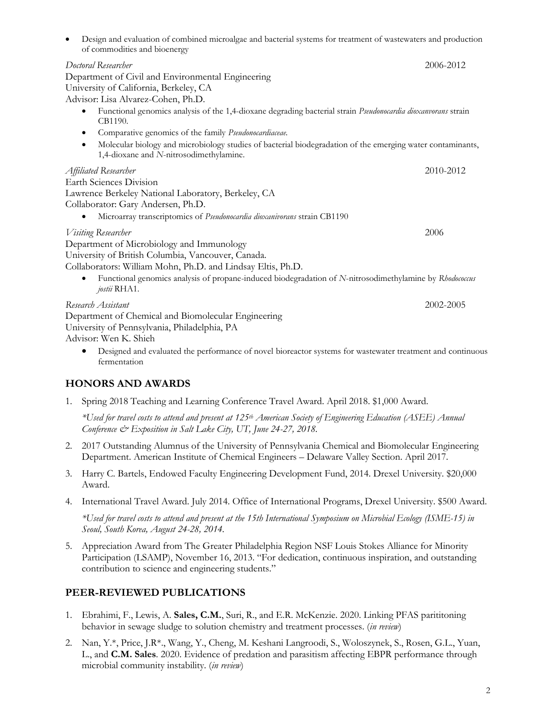| Design and evaluation of combined microalgae and bacterial systems for treatment of wastewaters and production<br>$\bullet$<br>of commodities and bioenergy        |           |
|--------------------------------------------------------------------------------------------------------------------------------------------------------------------|-----------|
| Doctoral Researcher                                                                                                                                                | 2006-2012 |
| Department of Civil and Environmental Engineering                                                                                                                  |           |
| University of California, Berkeley, CA                                                                                                                             |           |
| Advisor: Lisa Alvarez-Cohen, Ph.D.                                                                                                                                 |           |
| Functional genomics analysis of the 1,4-dioxane degrading bacterial strain Pseudonocardia dioxanvorans strain<br>$\bullet$<br>CB1190.                              |           |
| Comparative genomics of the family Pseudonocardiaceae.<br>٠                                                                                                        |           |
| Molecular biology and microbiology studies of bacterial biodegradation of the emerging water contaminants,<br>$\bullet$<br>1,4-dioxane and N-nitrosodimethylamine. |           |
| Affiliated Researcher                                                                                                                                              | 2010-2012 |
| <b>Earth Sciences Division</b>                                                                                                                                     |           |
| Lawrence Berkeley National Laboratory, Berkeley, CA                                                                                                                |           |
| Collaborator: Gary Andersen, Ph.D.                                                                                                                                 |           |
| Microarray transcriptomics of Pseudonocardia dioxanivorans strain CB1190                                                                                           |           |
| Visiting Researcher                                                                                                                                                | 2006      |
| Department of Microbiology and Immunology                                                                                                                          |           |
| University of British Columbia, Vancouver, Canada.                                                                                                                 |           |
| Collaborators: William Mohn, Ph.D. and Lindsay Eltis, Ph.D.                                                                                                        |           |
| Functional genomics analysis of propane-induced biodegradation of N-nitrosodimethylamine by Rhodococcus<br>jostii RHA1.                                            |           |
| Research Assistant                                                                                                                                                 | 2002-2005 |
| Department of Chemical and Biomolecular Engineering<br>University of Pennsylvania, Philadelphia, PA                                                                |           |

Advisor: Wen K. Shieh

• Designed and evaluated the performance of novel bioreactor systems for wastewater treatment and continuous fermentation

# **HONORS AND AWARDS**

1. Spring 2018 Teaching and Learning Conference Travel Award. April 2018. \$1,000 Award.

*\*Used for travel costs to attend and present at 125th American Society of Engineering Education (ASEE) Annual Conference & Exposition in Salt Lake City, UT, June 24-27, 2018.*

- 2. 2017 Outstanding Alumnus of the University of Pennsylvania Chemical and Biomolecular Engineering Department. American Institute of Chemical Engineers – Delaware Valley Section. April 2017.
- 3. Harry C. Bartels, Endowed Faculty Engineering Development Fund, 2014. Drexel University. \$20,000 Award.
- 4. International Travel Award. July 2014. Office of International Programs, Drexel University. \$500 Award.

*\*Used for travel costs to attend and present at the 15th International Symposium on Microbial Ecology (ISME-15) in Seoul, South Korea, August 24-28, 2014.*

5. Appreciation Award from The Greater Philadelphia Region NSF Louis Stokes Alliance for Minority Participation (LSAMP), November 16, 2013. "For dedication, continuous inspiration, and outstanding contribution to science and engineering students."

# **PEER-REVIEWED PUBLICATIONS**

- 1. Ebrahimi, F., Lewis, A. **Sales, C.M.**, Suri, R., and E.R. McKenzie. 2020. Linking PFAS parititoning behavior in sewage sludge to solution chemistry and treatment processes. (*in review*)
- 2. Nan, Y.\*, Price, J.R\*., Wang, Y., Cheng, M. Keshani Langroodi, S., Woloszynek, S., Rosen, G.L., Yuan, L., and **C.M. Sales**. 2020. Evidence of predation and parasitism affecting EBPR performance through microbial community instability. (*in review*)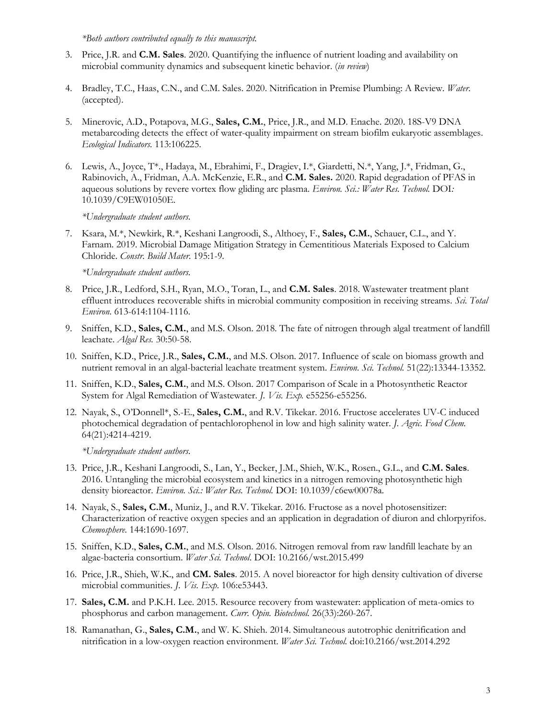*\*Both authors contributed equally to this manuscript.*

- 3. Price, J.R. and **C.M. Sales**. 2020. Quantifying the influence of nutrient loading and availability on microbial community dynamics and subsequent kinetic behavior. (*in review*)
- 4. Bradley, T.C., Haas, C.N., and C.M. Sales. 2020. Nitrification in Premise Plumbing: A Review. *Water*. (accepted).
- 5. Minerovic, A.D., Potapova, M.G., **Sales, C.M.**, Price, J.R., and M.D. Enache. 2020. 18S-V9 DNA metabarcoding detects the effect of water-quality impairment on stream biofilm eukaryotic assemblages. *Ecological Indicators.* 113:106225.
- 6. Lewis, A., Joyce, T\*., Hadaya, M., Ebrahimi, F., Dragiev, I.\*, Giardetti, N.\*, Yang, J.\*, Fridman, G., Rabinovich, A., Fridman, A.A. McKenzie, E.R., and **C.M. Sales.** 2020. Rapid degradation of PFAS in aqueous solutions by revere vortex flow gliding arc plasma. *Environ. Sci.: Water Res. Technol.* DOI*:*  10.1039/C9EW01050E.

*\*Undergraduate student authors.*

7. Ksara, M.\*, Newkirk, R.\*, Keshani Langroodi, S., Althoey, F., **Sales, C.M.**, Schauer, C.L., and Y. Farnam. 2019. Microbial Damage Mitigation Strategy in Cementitious Materials Exposed to Calcium Chloride. *Constr. Build Mater.* 195:1-9*.*

*\*Undergraduate student authors.*

- 8. Price, J.R., Ledford, S.H., Ryan, M.O., Toran, L., and **C.M. Sales**. 2018. Wastewater treatment plant effluent introduces recoverable shifts in microbial community composition in receiving streams. *Sci. Total Environ*. 613-614:1104-1116.
- 9. Sniffen, K.D., **Sales, C.M.**, and M.S. Olson. 2018. The fate of nitrogen through algal treatment of landfill leachate. *Algal Res.* 30:50-58.
- 10. Sniffen, K.D., Price, J.R., **Sales, C.M.**, and M.S. Olson. 2017. Influence of scale on biomass growth and nutrient removal in an algal-bacterial leachate treatment system. *Environ. Sci. Technol.* 51(22):13344-13352.
- 11. Sniffen, K.D., **Sales, C.M.**, and M.S. Olson. 2017 Comparison of Scale in a Photosynthetic Reactor System for Algal Remediation of Wastewater. *J. Vis. Exp.* e55256-e55256.
- 12. Nayak, S., O'Donnell\*, S.-E., **Sales, C.M.**, and R.V. Tikekar. 2016. Fructose accelerates UV-C induced photochemical degradation of pentachlorophenol in low and high salinity water. *J. Agric. Food Chem.* 64(21):4214-4219.

*\*Undergraduate student authors.*

- 13. Price, J.R., Keshani Langroodi, S., Lan, Y., Becker, J.M., Shieh, W.K., Rosen., G.L., and **C.M. Sales**. 2016. Untangling the microbial ecosystem and kinetics in a nitrogen removing photosynthetic high density bioreactor. *Environ. Sci.: Water Res. Technol.* DOI: 10.1039/c6ew00078a.
- 14. Nayak, S., **Sales, C.M.**, Muniz, J., and R.V. Tikekar. 2016. Fructose as a novel photosensitizer: Characterization of reactive oxygen species and an application in degradation of diuron and chlorpyrifos. *Chemosphere*. 144:1690-1697.
- 15. Sniffen, K.D., **Sales, C.M.**, and M.S. Olson. 2016. Nitrogen removal from raw landfill leachate by an algae-bacteria consortium. *Water Sci. Technol*. DOI: 10.2166/wst.2015.499
- 16. Price, J.R., Shieh, W.K., and **CM. Sales**. 2015. A novel bioreactor for high density cultivation of diverse microbial communities. *J. Vis. Exp*. 106:e53443.
- 17. **Sales, C.M.** and P.K.H. Lee. 2015. Resource recovery from wastewater: application of meta-omics to phosphorus and carbon management. *Curr. Opin. Biotechnol.* 26(33):260-267.
- 18. Ramanathan, G., **Sales, C.M.**, and W. K. Shieh. 2014. Simultaneous autotrophic denitrification and nitrification in a low-oxygen reaction environment. *Water Sci. Technol.* doi:10.2166/wst.2014.292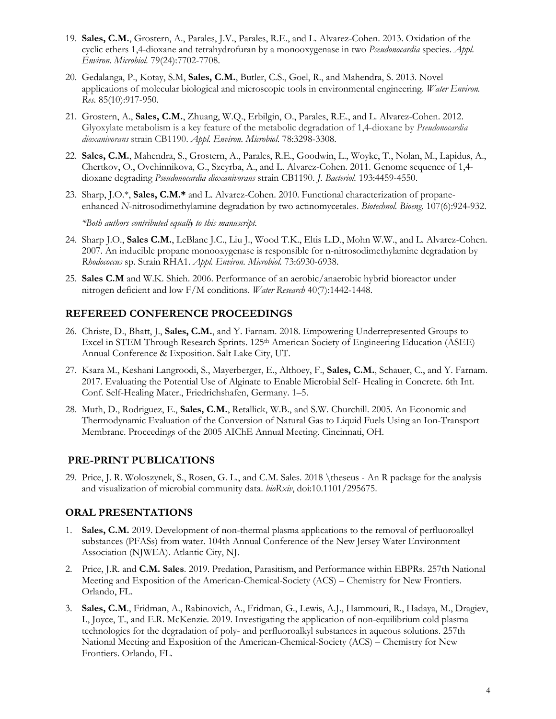- 19. **Sales, C.M.**, Grostern, A., Parales, J.V., Parales, R.E., and L. Alvarez-Cohen. 2013. Oxidation of the cyclic ethers 1,4-dioxane and tetrahydrofuran by a monooxygenase in two *Pseudonocardia* species. *Appl. Environ. Microbiol.* 79(24):7702-7708.
- 20. Gedalanga, P., Kotay, S.M, **Sales, C.M.**, Butler, C.S., Goel, R., and Mahendra, S. 2013. Novel applications of molecular biological and microscopic tools in environmental engineering. *Water Environ. Res.* 85(10):917-950.
- 21. Grostern, A., **Sales, C.M.**, Zhuang, W.Q., Erbilgin, O., Parales, R.E., and L. Alvarez-Cohen. 2012. Glyoxylate metabolism is a key feature of the metabolic degradation of 1,4-dioxane by *Pseudonocardia dioxanivorans* strain CB1190. *Appl. Environ. Microbiol*. 78:3298-3308.
- 22. **Sales, C.M.**, Mahendra, S., Grostern, A., Parales, R.E., Goodwin, L., Woyke, T., Nolan, M., Lapidus, A., Chertkov, O., Ovchinnikova, G., Szcyrba, A., and L. Alvarez-Cohen. 2011. Genome sequence of 1,4 dioxane degrading *Pseudonocardia dioxanivorans* strain CB1190. *J. Bacteriol.* 193:4459-4550.
- 23. Sharp, J.O.\*, **Sales, C.M.\*** and L. Alvarez-Cohen. 2010. Functional characterization of propaneenhanced *N*-nitrosodimethylamine degradation by two actinomycetales. *Biotechnol. Bioeng.* 107(6):924-932.

*\*Both authors contributed equally to this manuscript.*

- 24. Sharp J.O., **Sales C.M.**, LeBlanc J.C., Liu J., Wood T.K., Eltis L.D., Mohn W.W., and L. Alvarez-Cohen. 2007. An inducible propane monooxygenase is responsible for n-nitrosodimethylamine degradation by *Rhodococcus* sp. Strain RHA1. *Appl. Environ. Microbiol.* 73:6930-6938.
- 25. **Sales C.M** and W.K. Shieh. 2006. Performance of an aerobic/anaerobic hybrid bioreactor under nitrogen deficient and low F/M conditions. *Water Research* 40(7):1442-1448.

#### **REFEREED CONFERENCE PROCEEDINGS**

- 26. Christe, D., Bhatt, J., **Sales, C.M.**, and Y. Farnam. 2018. Empowering Underrepresented Groups to Excel in STEM Through Research Sprints. 125<sup>th</sup> American Society of Engineering Education (ASEE) Annual Conference & Exposition. Salt Lake City, UT.
- 27. Ksara M., Keshani Langroodi, S., Mayerberger, E., Althoey, F., **Sales, C.M.**, Schauer, C., and Y. Farnam. 2017. Evaluating the Potential Use of Alginate to Enable Microbial Self- Healing in Concrete. 6th Int. Conf. Self-Healing Mater., Friedrichshafen, Germany. 1–5.
- 28. Muth, D., Rodriguez, E., **Sales, C.M.**, Retallick, W.B., and S.W. Churchill. 2005. An Economic and Thermodynamic Evaluation of the Conversion of Natural Gas to Liquid Fuels Using an Ion-Transport Membrane. Proceedings of the 2005 AIChE Annual Meeting. Cincinnati, OH.

#### **PRE-PRINT PUBLICATIONS**

29. Price, J. R. Woloszynek, S., Rosen, G. L., and C.M. Sales. 2018 \theseus - An R package for the analysis and visualization of microbial community data. *bioRxiv*, doi:10.1101/295675.

#### **ORAL PRESENTATIONS**

- 1. **Sales, C.M.** 2019. Development of non-thermal plasma applications to the removal of perfluoroalkyl substances (PFASs) from water. 104th Annual Conference of the New Jersey Water Environment Association (NJWEA). Atlantic City, NJ.
- 2. Price, J.R. and **C.M. Sales**. 2019. Predation, Parasitism, and Performance within EBPRs. 257th National Meeting and Exposition of the American-Chemical-Society (ACS) – Chemistry for New Frontiers. Orlando, FL.
- 3. **Sales, C.M**., Fridman, A., Rabinovich, A., Fridman, G., Lewis, A.J., Hammouri, R., Hadaya, M., Dragiev, I., Joyce, T., and E.R. McKenzie. 2019. Investigating the application of non-equilibrium cold plasma technologies for the degradation of poly- and perfluoroalkyl substances in aqueous solutions. 257th National Meeting and Exposition of the American-Chemical-Society (ACS) – Chemistry for New Frontiers. Orlando, FL.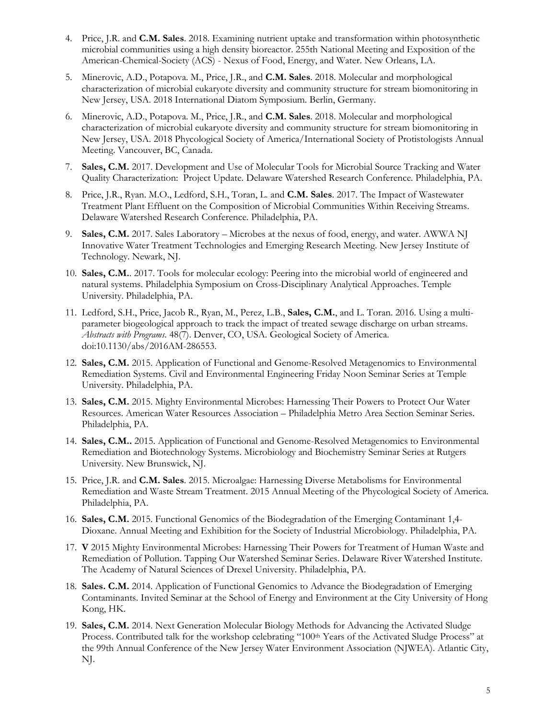- 4. Price, J.R. and **C.M. Sales**. 2018. Examining nutrient uptake and transformation within photosynthetic microbial communities using a high density bioreactor. 255th National Meeting and Exposition of the American-Chemical-Society (ACS) - Nexus of Food, Energy, and Water. New Orleans, LA.
- 5. Minerovic, A.D., Potapova. M., Price, J.R., and **C.M. Sales**. 2018. Molecular and morphological characterization of microbial eukaryote diversity and community structure for stream biomonitoring in New Jersey, USA. 2018 International Diatom Symposium. Berlin, Germany.
- 6. Minerovic, A.D., Potapova. M., Price, J.R., and **C.M. Sales**. 2018. Molecular and morphological characterization of microbial eukaryote diversity and community structure for stream biomonitoring in New Jersey, USA. 2018 Phycological Society of America/International Society of Protistologists Annual Meeting. Vancouver, BC, Canada.
- 7. **Sales, C.M.** 2017. Development and Use of Molecular Tools for Microbial Source Tracking and Water Quality Characterization: Project Update. Delaware Watershed Research Conference. Philadelphia, PA.
- 8. Price, J.R., Ryan. M.O., Ledford, S.H., Toran, L. and **C.M. Sales**. 2017. The Impact of Wastewater Treatment Plant Effluent on the Composition of Microbial Communities Within Receiving Streams. Delaware Watershed Research Conference. Philadelphia, PA.
- 9. **Sales, C.M.** 2017. Sales Laboratory Microbes at the nexus of food, energy, and water. AWWA NJ Innovative Water Treatment Technologies and Emerging Research Meeting. New Jersey Institute of Technology. Newark, NJ.
- 10. **Sales, C.M.**. 2017. Tools for molecular ecology: Peering into the microbial world of engineered and natural systems. Philadelphia Symposium on Cross-Disciplinary Analytical Approaches. Temple University. Philadelphia, PA.
- 11. Ledford, S.H., Price, Jacob R., Ryan, M., Perez, L.B., **Sales, C.M.**, and L. Toran. 2016. Using a multiparameter biogeological approach to track the impact of treated sewage discharge on urban streams. *Abstracts with Programs*. 48(7). Denver, CO, USA. Geological Society of America. doi:10.1130/abs/2016AM-286553.
- 12. **Sales, C.M.** 2015. Application of Functional and Genome-Resolved Metagenomics to Environmental Remediation Systems. Civil and Environmental Engineering Friday Noon Seminar Series at Temple University. Philadelphia, PA.
- 13. **Sales, C.M.** 2015. Mighty Environmental Microbes: Harnessing Their Powers to Protect Our Water Resources. American Water Resources Association – Philadelphia Metro Area Section Seminar Series. Philadelphia, PA.
- 14. **Sales, C.M..** 2015. Application of Functional and Genome-Resolved Metagenomics to Environmental Remediation and Biotechnology Systems. Microbiology and Biochemistry Seminar Series at Rutgers University. New Brunswick, NJ.
- 15. Price, J.R. and **C.M. Sales**. 2015. Microalgae: Harnessing Diverse Metabolisms for Environmental Remediation and Waste Stream Treatment. 2015 Annual Meeting of the Phycological Society of America. Philadelphia, PA.
- 16. **Sales, C.M.** 2015. Functional Genomics of the Biodegradation of the Emerging Contaminant 1,4- Dioxane. Annual Meeting and Exhibition for the Society of Industrial Microbiology. Philadelphia, PA.
- 17. **V** 2015 Mighty Environmental Microbes: Harnessing Their Powers for Treatment of Human Waste and Remediation of Pollution. Tapping Our Watershed Seminar Series. Delaware River Watershed Institute. The Academy of Natural Sciences of Drexel University. Philadelphia, PA.
- 18. **Sales. C.M.** 2014. Application of Functional Genomics to Advance the Biodegradation of Emerging Contaminants. Invited Seminar at the School of Energy and Environment at the City University of Hong Kong, HK.
- 19. **Sales, C.M.** 2014. Next Generation Molecular Biology Methods for Advancing the Activated Sludge Process. Contributed talk for the workshop celebrating "100th Years of the Activated Sludge Process" at the 99th Annual Conference of the New Jersey Water Environment Association (NJWEA). Atlantic City, NJ.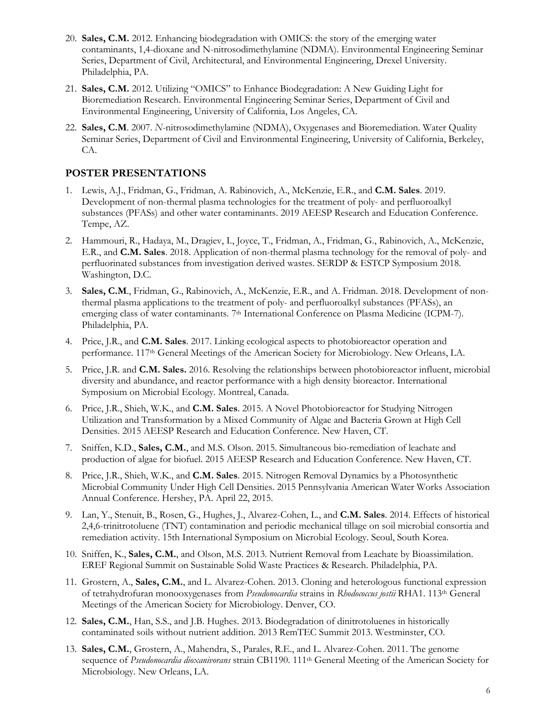- 20. **Sales, C.M.** 2012. Enhancing biodegradation with OMICS: the story of the emerging water contaminants, 1,4-dioxane and N-nitrosodimethylamine (NDMA). Environmental Engineering Seminar Series, Department of Civil, Architectural, and Environmental Engineering, Drexel University. Philadelphia, PA.
- 21. **Sales, C.M.** 2012. Utilizing "OMICS" to Enhance Biodegradation: A New Guiding Light for Bioremediation Research. Environmental Engineering Seminar Series, Department of Civil and Environmental Engineering, University of California, Los Angeles, CA.
- 22. **Sales, C.M**. 2007. *N*-nitrosodimethylamine (NDMA), Oxygenases and Bioremediation. Water Quality Seminar Series, Department of Civil and Environmental Engineering, University of California, Berkeley, CA.

#### **POSTER PRESENTATIONS**

- 1. Lewis, A.J., Fridman, G., Fridman, A. Rabinovich, A., McKenzie, E.R., and **C.M. Sales**. 2019. Development of non-thermal plasma technologies for the treatment of poly- and perfluoroalkyl substances (PFASs) and other water contaminants. 2019 AEESP Research and Education Conference. Tempe, AZ.
- 2. Hammouri, R., Hadaya, M., Dragiev, I., Joyce, T., Fridman, A., Fridman, G., Rabinovich, A., McKenzie, E.R., and **C.M. Sales**. 2018. Application of non-thermal plasma technology for the removal of poly- and perfluorinated substances from investigation derived wastes. SERDP & ESTCP Symposium 2018. Washington, D.C.
- 3. **Sales, C.M**., Fridman, G., Rabinovich, A., McKenzie, E.R., and A. Fridman. 2018. Development of nonthermal plasma applications to the treatment of poly- and perfluoroalkyl substances (PFASs), an emerging class of water contaminants. 7<sup>th</sup> International Conference on Plasma Medicine (ICPM-7). Philadelphia, PA.
- 4. Price, J.R., and **C.M. Sales**. 2017. Linking ecological aspects to photobioreactor operation and performance. 117<sup>th</sup> General Meetings of the American Society for Microbiology. New Orleans, LA.
- 5. Price, J.R. and **C.M. Sales.** 2016. Resolving the relationships between photobioreactor influent, microbial diversity and abundance, and reactor performance with a high density bioreactor. International Symposium on Microbial Ecology. Montreal, Canada.
- 6. Price, J.R., Shieh, W.K., and **C.M. Sales**. 2015. A Novel Photobioreactor for Studying Nitrogen Utilization and Transformation by a Mixed Community of Algae and Bacteria Grown at High Cell Densities. 2015 AEESP Research and Education Conference. New Haven, CT.
- 7. Sniffen, K.D., **Sales, C.M.**, and M.S. Olson. 2015. Simultaneous bio-remediation of leachate and production of algae for biofuel. 2015 AEESP Research and Education Conference. New Haven, CT.
- 8. Price, J.R., Shieh, W.K., and **C.M. Sales**. 2015. Nitrogen Removal Dynamics by a Photosynthetic Microbial Community Under High Cell Densities. 2015 Pennsylvania American Water Works Association Annual Conference. Hershey, PA. April 22, 2015.
- 9. Lan, Y., Stenuit, B., Rosen, G., Hughes, J., Alvarez-Cohen, L., and **C.M. Sales**. 2014. Effects of historical 2,4,6-trinitrotoluene (TNT) contamination and periodic mechanical tillage on soil microbial consortia and remediation activity. 15th International Symposium on Microbial Ecology. Seoul, South Korea.
- 10. Sniffen, K., **Sales, C.M.**, and Olson, M.S. 2013. Nutrient Removal from Leachate by Bioassimilation. EREF Regional Summit on Sustainable Solid Waste Practices & Research. Philadelphia, PA.
- 11. Grostern, A., **Sales, C.M.**, and L. Alvarez-Cohen. 2013. Cloning and heterologous functional expression of tetrahydrofuran monooxygenases from *Pseudonocardia* strains in *Rhodococcus jostii* RHA1. 113th General Meetings of the American Society for Microbiology. Denver, CO.
- 12. **Sales, C.M.**, Han, S.S., and J.B. Hughes. 2013. Biodegradation of dinitrotoluenes in historically contaminated soils without nutrient addition. 2013 RemTEC Summit 2013. Westminster, CO.
- 13. **Sales, C.M.**, Grostern, A., Mahendra, S., Parales, R.E., and L. Alvarez-Cohen. 2011. The genome sequence of *Pseudonocardia dioxanivorans* strain CB1190. 111<sup>th</sup> General Meeting of the American Society for Microbiology. New Orleans, LA.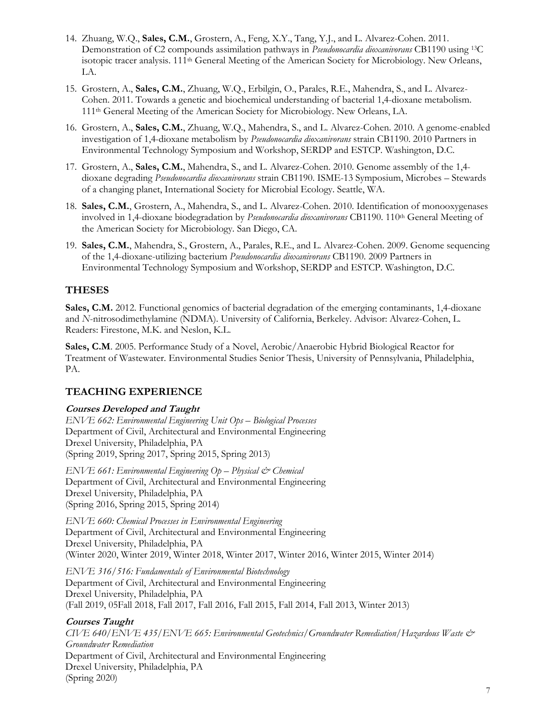- 14. Zhuang, W.Q., **Sales, C.M.**, Grostern, A., Feng, X.Y., Tang, Y.J., and L. Alvarez-Cohen. 2011. Demonstration of C2 compounds assimilation pathways in *Pseudonocardia dioxanivorans* CB1190 using 13C isotopic tracer analysis. 111<sup>th</sup> General Meeting of the American Society for Microbiology. New Orleans, LA.
- 15. Grostern, A., **Sales, C.M.**, Zhuang, W.Q., Erbilgin, O., Parales, R.E., Mahendra, S., and L. Alvarez-Cohen. 2011. Towards a genetic and biochemical understanding of bacterial 1,4-dioxane metabolism. 111th General Meeting of the American Society for Microbiology. New Orleans, LA.
- 16. Grostern, A., **Sales, C.M.**, Zhuang, W.Q., Mahendra, S., and L. Alvarez-Cohen. 2010. A genome-enabled investigation of 1,4-dioxane metabolism by *Pseudonocardia dioxanivorans* strain CB1190. 2010 Partners in Environmental Technology Symposium and Workshop, SERDP and ESTCP. Washington, D.C.
- 17. Grostern, A., **Sales, C.M.**, Mahendra, S., and L. Alvarez-Cohen. 2010. Genome assembly of the 1,4 dioxane degrading *Pseudonocardia dioxanivorans* strain CB1190. ISME-13 Symposium, Microbes – Stewards of a changing planet, International Society for Microbial Ecology. Seattle, WA.
- 18. **Sales, C.M.**, Grostern, A., Mahendra, S., and L. Alvarez-Cohen. 2010. Identification of monooxygenases involved in 1,4-dioxane biodegradation by *Pseudonocardia dioxanivorans* CB1190. 110th General Meeting of the American Society for Microbiology. San Diego, CA.
- 19. **Sales, C.M.**, Mahendra, S., Grostern, A., Parales, R.E., and L. Alvarez-Cohen. 2009. Genome sequencing of the 1,4-dioxane-utilizing bacterium *Pseudonocardia dioxanivorans* CB1190. 2009 Partners in Environmental Technology Symposium and Workshop, SERDP and ESTCP. Washington, D.C.

# **THESES**

**Sales, C.M.** 2012. Functional genomics of bacterial degradation of the emerging contaminants, 1,4-dioxane and *N*-nitrosodimethylamine (NDMA). University of California, Berkeley. Advisor: Alvarez-Cohen, L. Readers: Firestone, M.K. and Neslon, K.L.

**Sales, C.M**. 2005. Performance Study of a Novel, Aerobic/Anaerobic Hybrid Biological Reactor for Treatment of Wastewater. Environmental Studies Senior Thesis, University of Pennsylvania, Philadelphia, PA.

# **TEACHING EXPERIENCE**

#### **Courses Developed and Taught**

*ENVE 662: Environmental Engineering Unit Ops – Biological Processes* Department of Civil, Architectural and Environmental Engineering Drexel University, Philadelphia, PA (Spring 2019, Spring 2017, Spring 2015, Spring 2013)

*ENVE 661: Environmental Engineering Op – Physical & Chemical* Department of Civil, Architectural and Environmental Engineering Drexel University, Philadelphia, PA (Spring 2016, Spring 2015, Spring 2014)

*ENVE 660: Chemical Processes in Environmental Engineering* Department of Civil, Architectural and Environmental Engineering Drexel University, Philadelphia, PA (Winter 2020, Winter 2019, Winter 2018, Winter 2017, Winter 2016, Winter 2015, Winter 2014)

*ENVE 316/516: Fundamentals of Environmental Biotechnology* Department of Civil, Architectural and Environmental Engineering Drexel University, Philadelphia, PA (Fall 2019, 05Fall 2018, Fall 2017, Fall 2016, Fall 2015, Fall 2014, Fall 2013, Winter 2013)

#### **Courses Taught**

*CIVE 640/ENVE 435/ENVE 665: Environmental Geotechnics/Groundwater Remediation/Hazardous Waste & Groundwater Remediation* Department of Civil, Architectural and Environmental Engineering Drexel University, Philadelphia, PA (Spring 2020)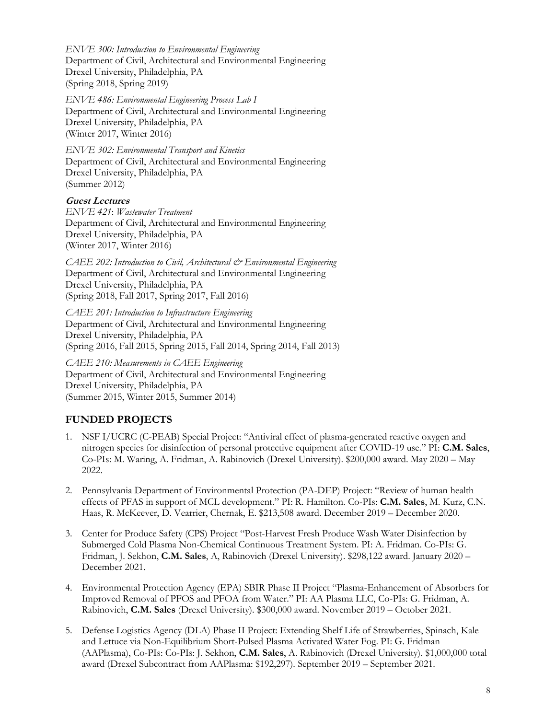*ENVE 300: Introduction to Environmental Engineering* Department of Civil, Architectural and Environmental Engineering Drexel University, Philadelphia, PA (Spring 2018, Spring 2019)

*ENVE 486: Environmental Engineering Process Lab I* Department of Civil, Architectural and Environmental Engineering Drexel University, Philadelphia, PA (Winter 2017, Winter 2016)

*ENVE 302: Environmental Transport and Kinetics* Department of Civil, Architectural and Environmental Engineering Drexel University, Philadelphia, PA (Summer 2012)

#### **Guest Lectures**

*ENVE 421*: *Wastewater Treatment* Department of Civil, Architectural and Environmental Engineering Drexel University, Philadelphia, PA (Winter 2017, Winter 2016)

*CAEE 202: Introduction to Civil, Architectural & Environmental Engineering* Department of Civil, Architectural and Environmental Engineering Drexel University, Philadelphia, PA (Spring 2018, Fall 2017, Spring 2017, Fall 2016)

*CAEE 201: Introduction to Infrastructure Engineering* Department of Civil, Architectural and Environmental Engineering Drexel University, Philadelphia, PA (Spring 2016, Fall 2015, Spring 2015, Fall 2014, Spring 2014, Fall 2013)

*CAEE 210: Measurements in CAEE Engineering* Department of Civil, Architectural and Environmental Engineering Drexel University, Philadelphia, PA (Summer 2015, Winter 2015, Summer 2014)

# **FUNDED PROJECTS**

- 1. NSF I/UCRC (C-PEAB) Special Project: "Antiviral effect of plasma-generated reactive oxygen and nitrogen species for disinfection of personal protective equipment after COVID-19 use." PI: **C.M. Sales**, Co-PIs: M. Waring, A. Fridman, A. Rabinovich (Drexel University). \$200,000 award. May 2020 – May 2022.
- 2. Pennsylvania Department of Environmental Protection (PA-DEP) Project: "Review of human health effects of PFAS in support of MCL development." PI: R. Hamilton. Co-PIs: **C.M. Sales**, M. Kurz, C.N. Haas, R. McKeever, D. Vearrier, Chernak, E. \$213,508 award. December 2019 – December 2020.
- 3. Center for Produce Safety (CPS) Project "Post-Harvest Fresh Produce Wash Water Disinfection by Submerged Cold Plasma Non-Chemical Continuous Treatment System. PI: A. Fridman. Co-PIs: G. Fridman, J. Sekhon, **C.M. Sales**, A, Rabinovich (Drexel University). \$298,122 award. January 2020 – December 2021.
- 4. Environmental Protection Agency (EPA) SBIR Phase II Project "Plasma-Enhancement of Absorbers for Improved Removal of PFOS and PFOA from Water." PI: AA Plasma LLC, Co-PIs: G. Fridman, A. Rabinovich, **C.M. Sales** (Drexel University). \$300,000 award. November 2019 – October 2021.
- 5. Defense Logistics Agency (DLA) Phase II Project: Extending Shelf Life of Strawberries, Spinach, Kale and Lettuce via Non-Equilibrium Short-Pulsed Plasma Activated Water Fog. PI: G. Fridman (AAPlasma), Co-PIs: Co-PIs: J. Sekhon, **C.M. Sales**, A. Rabinovich (Drexel University). \$1,000,000 total award (Drexel Subcontract from AAPlasma: \$192,297). September 2019 – September 2021.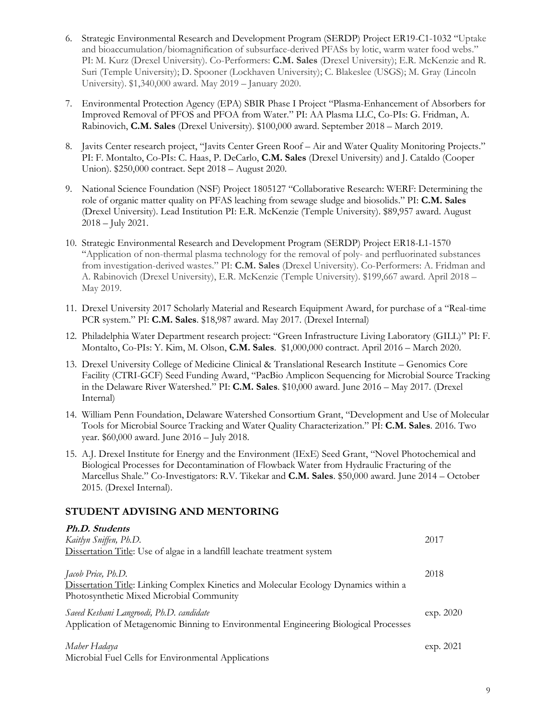- 6. Strategic Environmental Research and Development Program (SERDP) Project ER19-C1-1032 "Uptake and bioaccumulation/biomagnification of subsurface-derived PFASs by lotic, warm water food webs." PI: M. Kurz (Drexel University). Co-Performers: **C.M. Sales** (Drexel University); E.R. McKenzie and R. Suri (Temple University); D. Spooner (Lockhaven University); C. Blakeslee (USGS); M. Gray (Lincoln University). \$1,340,000 award. May 2019 – January 2020.
- 7. Environmental Protection Agency (EPA) SBIR Phase I Project "Plasma-Enhancement of Absorbers for Improved Removal of PFOS and PFOA from Water." PI: AA Plasma LLC, Co-PIs: G. Fridman, A. Rabinovich, **C.M. Sales** (Drexel University). \$100,000 award. September 2018 – March 2019.
- 8. Javits Center research project, "Javits Center Green Roof Air and Water Quality Monitoring Projects." PI: F. Montalto, Co-PIs: C. Haas, P. DeCarlo, **C.M. Sales** (Drexel University) and J. Cataldo (Cooper Union). \$250,000 contract. Sept 2018 – August 2020.
- 9. National Science Foundation (NSF) Project 1805127 "Collaborative Research: WERF: Determining the role of organic matter quality on PFAS leaching from sewage sludge and biosolids." PI: **C.M. Sales** (Drexel University). Lead Institution PI: E.R. McKenzie (Temple University). \$89,957 award. August 2018 – July 2021.
- 10. Strategic Environmental Research and Development Program (SERDP) Project ER18-L1-1570 "Application of non-thermal plasma technology for the removal of poly- and perfluorinated substances from investigation-derived wastes." PI: **C.M. Sales** (Drexel University). Co-Performers: A. Fridman and A. Rabinovich (Drexel University), E.R. McKenzie (Temple University). \$199,667 award. April 2018 – May 2019.
- 11. Drexel University 2017 Scholarly Material and Research Equipment Award, for purchase of a "Real-time PCR system." PI: **C.M. Sales**. \$18,987 award. May 2017. (Drexel Internal)
- 12. Philadelphia Water Department research project: "Green Infrastructure Living Laboratory (GILL)" PI: F. Montalto, Co-PIs: Y. Kim, M. Olson, **C.M. Sales**. \$1,000,000 contract. April 2016 – March 2020.
- 13. Drexel University College of Medicine Clinical & Translational Research Institute Genomics Core Facility (CTRI-GCF) Seed Funding Award, "PacBio Amplicon Sequencing for Microbial Source Tracking in the Delaware River Watershed." PI: **C.M. Sales**. \$10,000 award. June 2016 – May 2017. (Drexel Internal)
- 14. William Penn Foundation, Delaware Watershed Consortium Grant, "Development and Use of Molecular Tools for Microbial Source Tracking and Water Quality Characterization." PI: **C.M. Sales**. 2016. Two year. \$60,000 award. June 2016 – July 2018.
- 15. A.J. Drexel Institute for Energy and the Environment (IExE) Seed Grant, "Novel Photochemical and Biological Processes for Decontamination of Flowback Water from Hydraulic Fracturing of the Marcellus Shale." Co-Investigators: R.V. Tikekar and **C.M. Sales**. \$50,000 award. June 2014 – October 2015. (Drexel Internal).

# **STUDENT ADVISING AND MENTORING**

| <b>Ph.D. Students</b><br>Kaitlyn Sniffen, Ph.D.                                                                                                        | 2017      |
|--------------------------------------------------------------------------------------------------------------------------------------------------------|-----------|
| Dissertation Title: Use of algae in a landfill leachate treatment system                                                                               |           |
| Jacob Price, Ph.D.<br>Dissertation Title: Linking Complex Kinetics and Molecular Ecology Dynamics within a<br>Photosynthetic Mixed Microbial Community | 2018      |
| Saeed Keshani Langroodi, Ph.D. candidate<br>Application of Metagenomic Binning to Environmental Engineering Biological Processes                       | exp. 2020 |
| Maher Hadaya<br>Microbial Fuel Cells for Environmental Applications                                                                                    | exp. 2021 |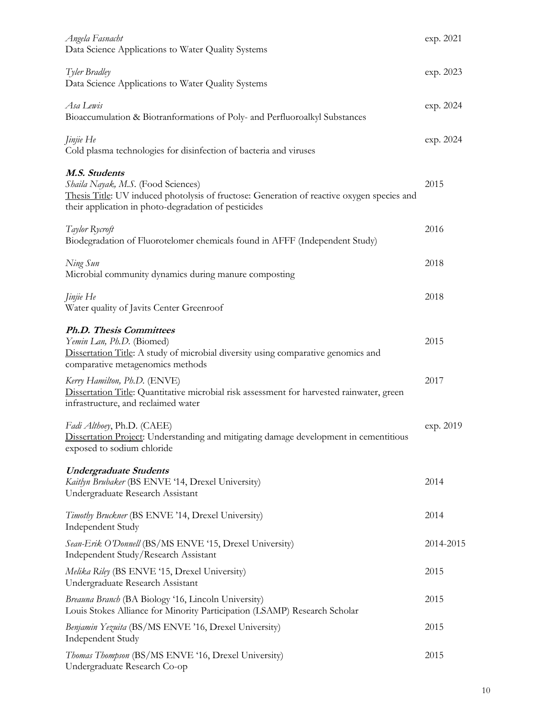| Angela Fasnacht<br>Data Science Applications to Water Quality Systems                                                                                                                                     | exp. 2021 |
|-----------------------------------------------------------------------------------------------------------------------------------------------------------------------------------------------------------|-----------|
| Tyler Bradley<br>Data Science Applications to Water Quality Systems                                                                                                                                       | exp. 2023 |
| Asa Lewis<br>Bioaccumulation & Biotranformations of Poly- and Perfluoroalkyl Substances                                                                                                                   | exp. 2024 |
| <i>Jinjie</i> He<br>Cold plasma technologies for disinfection of bacteria and viruses                                                                                                                     | exp. 2024 |
| M.S. Students<br>Shaila Nayak, M.S. (Food Sciences)<br>Thesis Title: UV induced photolysis of fructose: Generation of reactive oxygen species and<br>their application in photo-degradation of pesticides | 2015      |
| Taylor Rycroft<br>Biodegradation of Fluorotelomer chemicals found in AFFF (Independent Study)                                                                                                             | 2016      |
| Ning Sun<br>Microbial community dynamics during manure composting                                                                                                                                         | 2018      |
| <i>Jinjie</i> He<br>Water quality of Javits Center Greenroof                                                                                                                                              | 2018      |
| <b>Ph.D. Thesis Committees</b><br>Yemin Lan, Ph.D. (Biomed)<br>Dissertation Title: A study of microbial diversity using comparative genomics and<br>comparative metagenomics methods                      | 2015      |
| Kerry Hamilton, Ph.D. (ENVE)<br>Dissertation Title: Quantitative microbial risk assessment for harvested rainwater, green<br>infrastructure, and reclaimed water                                          | 2017      |
| Fadi Althoey, Ph.D. (CAEE)<br>Dissertation Project: Understanding and mitigating damage development in cementitious<br>exposed to sodium chloride                                                         | exp. 2019 |
| <b>Undergraduate Students</b><br>Kaitlyn Brubaker (BS ENVE '14, Drexel University)<br>Undergraduate Research Assistant                                                                                    | 2014      |
| Timothy Bruckner (BS ENVE '14, Drexel University)<br><b>Independent Study</b>                                                                                                                             | 2014      |
| Sean-Erik O'Donnell (BS/MS ENVE '15, Drexel University)<br>Independent Study/Research Assistant                                                                                                           | 2014-2015 |
| Melika Riley (BS ENVE '15, Drexel University)<br>Undergraduate Research Assistant                                                                                                                         | 2015      |
| Breauna Branch (BA Biology '16, Lincoln University)<br>Louis Stokes Alliance for Minority Participation (LSAMP) Research Scholar                                                                          | 2015      |
| Benjamin Yezuita (BS/MS ENVE '16, Drexel University)<br>Independent Study                                                                                                                                 | 2015      |
| Thomas Thompson (BS/MS ENVE '16, Drexel University)<br>Undergraduate Research Co-op                                                                                                                       | 2015      |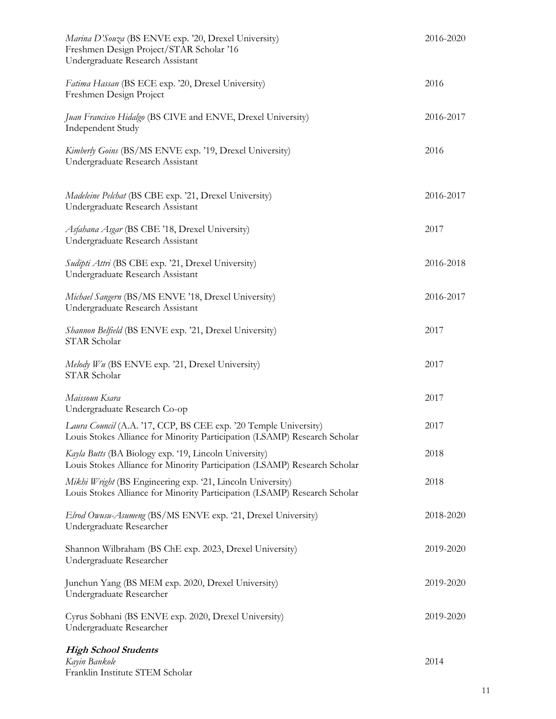| Marina D'Souza (BS ENVE exp. '20, Drexel University)<br>Freshmen Design Project/STAR Scholar '16<br>Undergraduate Research Assistant          | 2016-2020 |
|-----------------------------------------------------------------------------------------------------------------------------------------------|-----------|
| Fatima Hassan (BS ECE exp. '20, Drexel University)<br>Freshmen Design Project                                                                 | 2016      |
| Juan Francisco Hidalgo (BS CIVE and ENVE, Drexel University)<br>Independent Study                                                             | 2016-2017 |
| Kimberly Goins (BS/MS ENVE exp. '19, Drexel University)<br>Undergraduate Research Assistant                                                   | 2016      |
| Madeleine Pelchat (BS CBE exp. '21, Drexel University)<br>Undergraduate Research Assistant                                                    | 2016-2017 |
| Asfahana Asgar (BS CBE '18, Drexel University)<br>Undergraduate Research Assistant                                                            | 2017      |
| Sudipti Attri (BS CBE exp. '21, Drexel University)<br>Undergraduate Research Assistant                                                        | 2016-2018 |
| Michael Sangern (BS/MS ENVE '18, Drexel University)<br>Undergraduate Research Assistant                                                       | 2016-2017 |
| Shannon Belfield (BS ENVE exp. '21, Drexel University)<br>STAR Scholar                                                                        | 2017      |
| Melody Wu (BS ENVE exp. '21, Drexel University)<br>STAR Scholar                                                                               | 2017      |
| Maissoun Ksara<br>Undergraduate Research Co-op                                                                                                | 2017      |
| Laura Council (A.A. '17, CCP, BS CEE exp. '20 Temple University)<br>Louis Stokes Alliance for Minority Participation (LSAMP) Research Scholar | 2017      |
| Kayla Butts (BA Biology exp. '19, Lincoln University)<br>Louis Stokes Alliance for Minority Participation (LSAMP) Research Scholar            | 2018      |
| Mikhi Wright (BS Engineering exp. '21, Lincoln University)<br>Louis Stokes Alliance for Minority Participation (LSAMP) Research Scholar       | 2018      |
| Elrod Owusu-Asumeng (BS/MS ENVE exp. '21, Drexel University)<br>Undergraduate Researcher                                                      | 2018-2020 |
| Shannon Wilbraham (BS ChE exp. 2023, Drexel University)<br>Undergraduate Researcher                                                           | 2019-2020 |
| Junchun Yang (BS MEM exp. 2020, Drexel University)<br>Undergraduate Researcher                                                                | 2019-2020 |
| Cyrus Sobhani (BS ENVE exp. 2020, Drexel University)<br>Undergraduate Researcher                                                              | 2019-2020 |
| <b>High School Students</b><br>Kayin Bankole                                                                                                  | 2014      |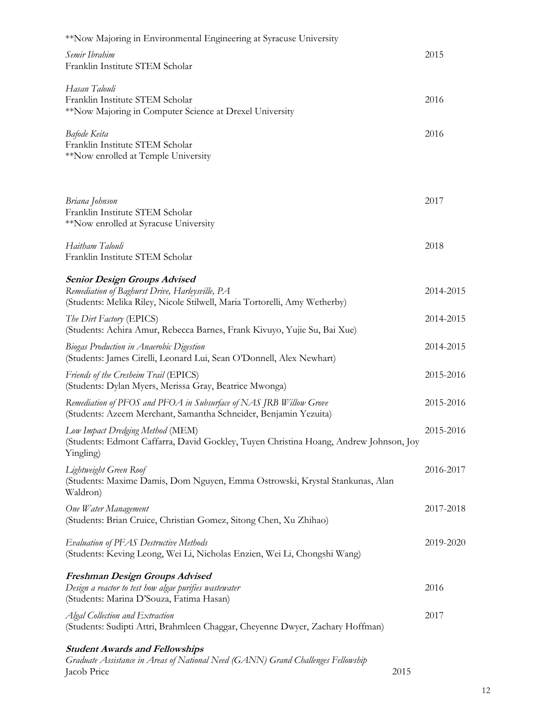| *Now Majoring in Environmental Engineering at Syracuse University                                                                                                   |           |
|---------------------------------------------------------------------------------------------------------------------------------------------------------------------|-----------|
| Semir Ibrahim<br>Franklin Institute STEM Scholar                                                                                                                    | 2015      |
| Hasan Talouli<br>Franklin Institute STEM Scholar<br>**Now Majoring in Computer Science at Drexel University                                                         | 2016      |
| Bafode Keita<br>Franklin Institute STEM Scholar<br>**Now enrolled at Temple University                                                                              | 2016      |
| Briana Johnson                                                                                                                                                      | 2017      |
| Franklin Institute STEM Scholar<br>**Now enrolled at Syracuse University                                                                                            |           |
| Haitham Talouli<br>Franklin Institute STEM Scholar                                                                                                                  | 2018      |
| <b>Senior Design Groups Advised</b><br>Remediation of Baghurst Drive, Harleysville, PA<br>(Students: Melika Riley, Nicole Stilwell, Maria Tortorelli, Amy Wetherby) | 2014-2015 |
| The Dirt Factory (EPICS)<br>(Students: Achira Amur, Rebecca Barnes, Frank Kivuyo, Yujie Su, Bai Xue)                                                                | 2014-2015 |
| <b>Biogas Production in Anaerobic Digestion</b><br>(Students: James Cirelli, Leonard Lui, Sean O'Donnell, Alex Newhart)                                             | 2014-2015 |
| Friends of the Cresheim Trail (EPICS)<br>(Students: Dylan Myers, Merissa Gray, Beatrice Mwonga)                                                                     | 2015-2016 |
| Remediation of PFOS and PFOA in Subsurface of NAS JRB Willow Grove<br>(Students: Azeem Merchant, Samantha Schneider, Benjamin Yezuita)                              | 2015-2016 |
| Low Impact Dredging Method (MEM)<br>(Students: Edmont Caffarra, David Gockley, Tuyen Christina Hoang, Andrew Johnson, Joy<br>Yingling)                              | 2015-2016 |
| Lightweight Green Roof<br>(Students: Maxime Damis, Dom Nguyen, Emma Ostrowski, Krystal Stankunas, Alan<br>Waldron)                                                  | 2016-2017 |
| One Water Management<br>(Students: Brian Cruice, Christian Gomez, Sitong Chen, Xu Zhihao)                                                                           | 2017-2018 |
| <b>Evaluation of PFAS Destructive Methods</b><br>(Students: Keving Leong, Wei Li, Nicholas Enzien, Wei Li, Chongshi Wang)                                           | 2019-2020 |
| Freshman Design Groups Advised<br>Design a reactor to test how algae purifies wastewater<br>(Students: Marina D'Souza, Fatima Hasan)                                | 2016      |
| Algal Collection and Extraction<br>(Students: Sudipti Attri, Brahmleen Chaggar, Cheyenne Dwyer, Zachary Hoffman)                                                    | 2017      |
| <b>Student Awards and Fellowships</b><br>Graduate Assistance in Areas of National Need (GANN) Grand Challenges Fellowship<br>Jacob Price                            | 2015      |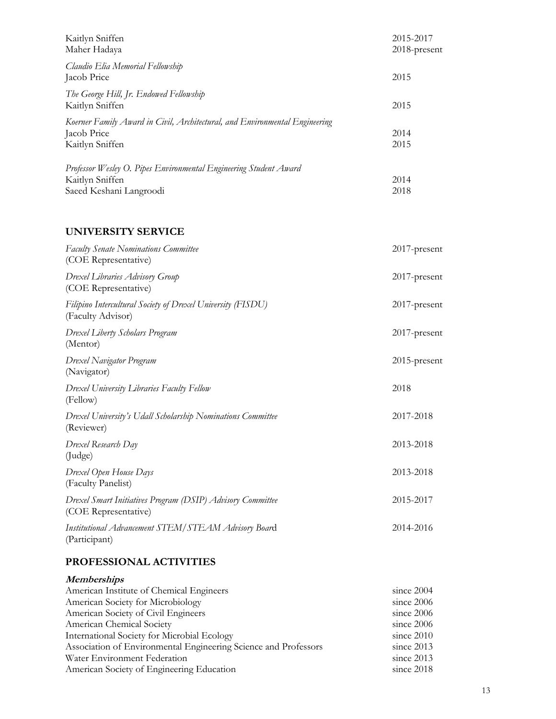| Kaitlyn Sniffen<br>Maher Hadaya                                                                                 | 2015-2017<br>2018-present |
|-----------------------------------------------------------------------------------------------------------------|---------------------------|
| Claudio Elia Memorial Fellowship<br>Jacob Price                                                                 | 2015                      |
| The George Hill, Jr. Endowed Fellowship<br>Kaitlyn Sniffen                                                      | 2015                      |
| Koerner Family Award in Civil, Architectural, and Environmental Engineering<br>Jacob Price<br>Kaitlyn Sniffen   | 2014<br>2015              |
| Professor Wesley O. Pipes Environmental Engineering Student Award<br>Kaitlyn Sniffen<br>Saeed Keshani Langroodi | 2014<br>2018              |

#### **UNIVERSITY SERVICE**

| <b>Faculty Senate Nominations Committee</b><br>(COE Representative)                | 2017-present    |
|------------------------------------------------------------------------------------|-----------------|
| Drexel Libraries Advisory Group<br>(COE Representative)                            | $2017$ -present |
| Filipino Intercultural Society of Drexel University (FISDU)<br>(Faculty Advisor)   | 2017-present    |
| Drexel Liberty Scholars Program<br>(Mentor)                                        | 2017-present    |
| Drexel Navigator Program<br>(Navigator)                                            | 2015-present    |
| Drexel University Libraries Faculty Fellow<br>(Fellow)                             | 2018            |
| Drexel University's Udall Scholarship Nominations Committee<br>(Reviewer)          | 2017-2018       |
| Drexel Research Day<br>(Judge)                                                     | 2013-2018       |
| Drexel Open House Days<br>(Faculty Panelist)                                       | 2013-2018       |
| Drexel Smart Initiatives Program (DSIP) Advisory Committee<br>(COE Representative) | 2015-2017       |
| Institutional Advancement STEM/STEAM Advisory Board<br>(Participant)               | 2014-2016       |

#### **PROFESSIONAL ACTIVITIES**

| <i>Memberships</i>                                              |              |
|-----------------------------------------------------------------|--------------|
| American Institute of Chemical Engineers                        | since $2004$ |
| American Society for Microbiology                               | since 2006   |
| American Society of Civil Engineers                             | since $2006$ |
| American Chemical Society                                       | since $2006$ |
| International Society for Microbial Ecology                     | since $2010$ |
| Association of Environmental Engineering Science and Professors | since $2013$ |
| Water Environment Federation                                    | since $2013$ |
| American Society of Engineering Education                       | since $2018$ |